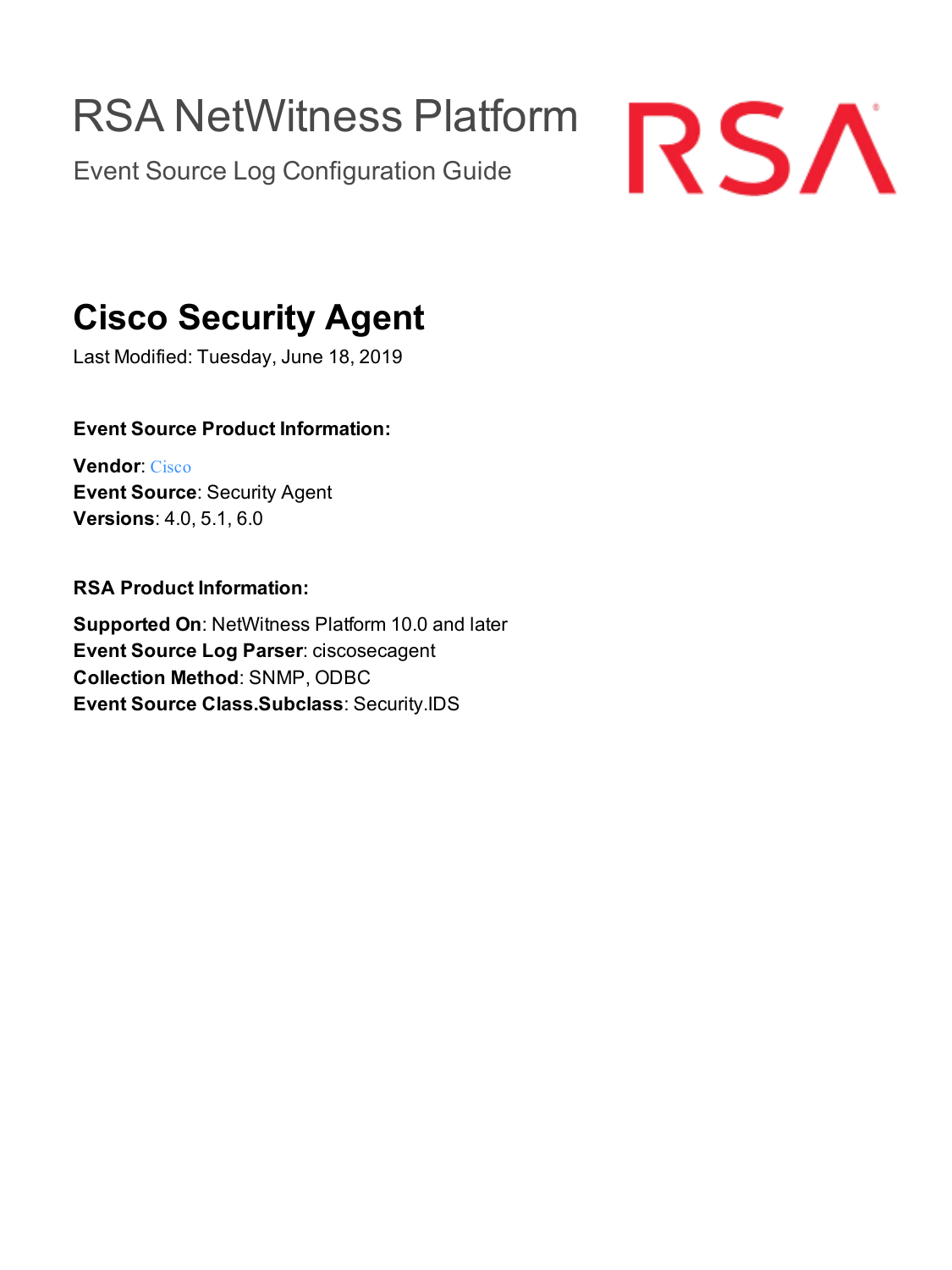# RSA NetWitness Platform

Event Source Log Configuration Guide



## **Cisco Security Agent**

Last Modified: Tuesday, June 18, 2019

## **Event Source Product Information:**

**Vendor**: [Cisco](http://www.cisco.com/) **Event Source**: Security Agent **Versions**: 4.0, 5.1, 6.0

## **RSA Product Information:**

**Supported On**: NetWitness Platform 10.0 and later **Event Source Log Parser**: ciscosecagent **Collection Method**: SNMP, ODBC **Event Source Class.Subclass**: Security.IDS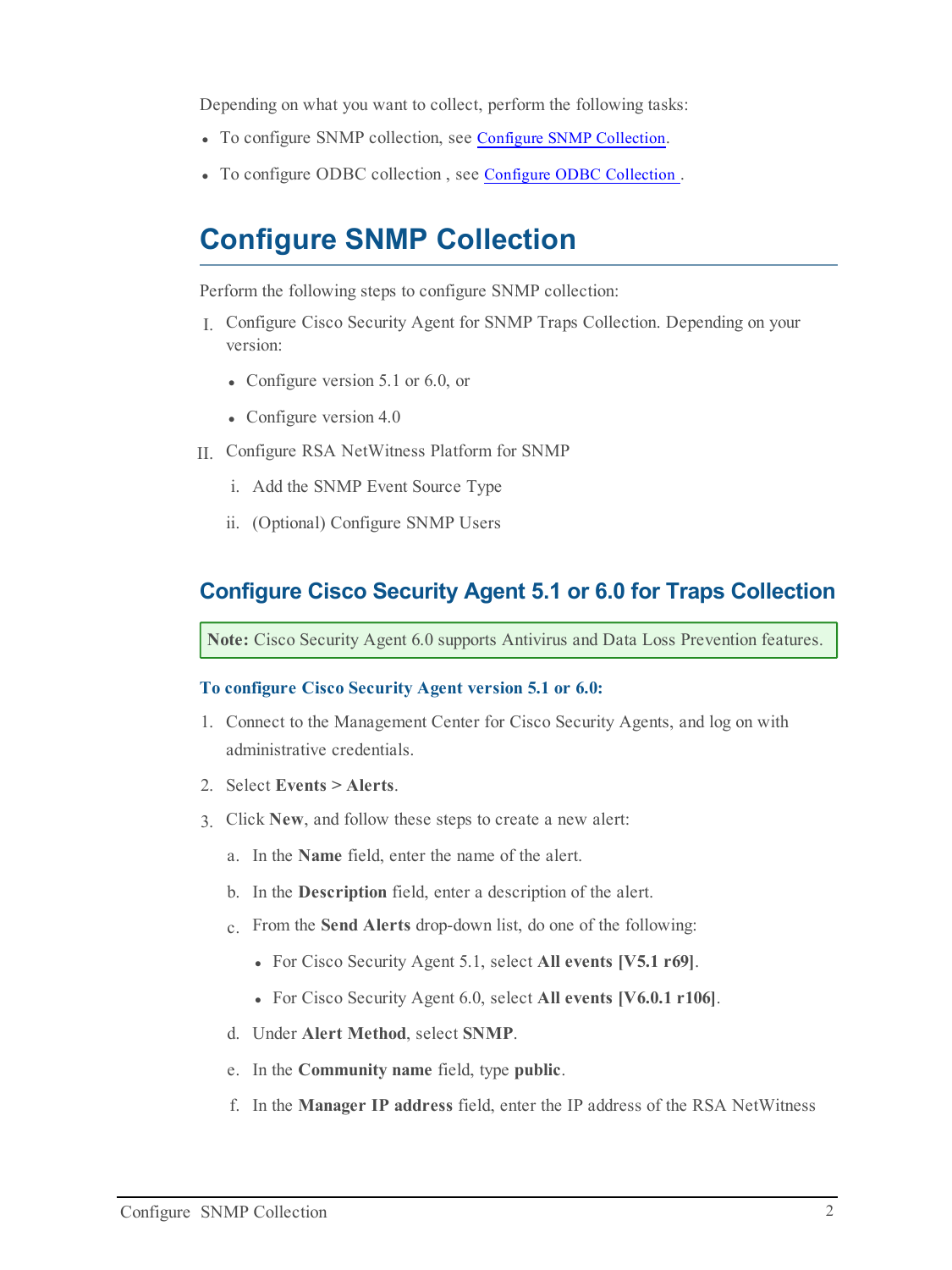Depending on what you want to collect, perform the following tasks:

- To configure SNMP collection, see Configure SNMP Collection.
- <span id="page-1-0"></span>• To configure ODBC collection, see Configure [ODBC Collection](#page-7-0).

## **Configure SNMP Collection**

Perform the following steps to configure SNMP collection:

- I. Configure Cisco Security Agent for SNMP Traps Collection. Depending on your version:
	- Configure version  $5.1$  or  $6.0$ , or
	- Configure version  $4.0$
- II. Configure RSA NetWitness Platform for SNMP
	- i. Add the SNMP Event Source Type
	- ii. (Optional) Configure SNMP Users

## **Configure Cisco Security Agent 5.1 or 6.0 for Traps Collection**

**Note:** Cisco Security Agent 6.0 supports Antivirus and Data Loss Prevention features.

#### **To configure Cisco Security Agent version 5.1 or 6.0:**

- 1. Connect to the Management Center for Cisco Security Agents, and log on with administrative credentials.
- 2. Select **Events > Alerts**.
- 3. Click **New**, and follow these steps to create a new alert:
	- a. In the **Name** field, enter the name of the alert.
	- b. In the **Description** field, enter a description of the alert.
	- c. From the **Send Alerts** drop-down list, do one of the following:
		- <sup>l</sup> For Cisco Security Agent 5.1, select **All events [V5.1 r69]**.
		- <sup>l</sup> For Cisco Security Agent 6.0, select **All events [V6.0.1 r106]**.
	- d. Under **Alert Method**, select **SNMP**.
	- e. In the **Community name** field, type **public**.
	- f. In the **Manager IP address** field, enter the IP address of the RSA NetWitness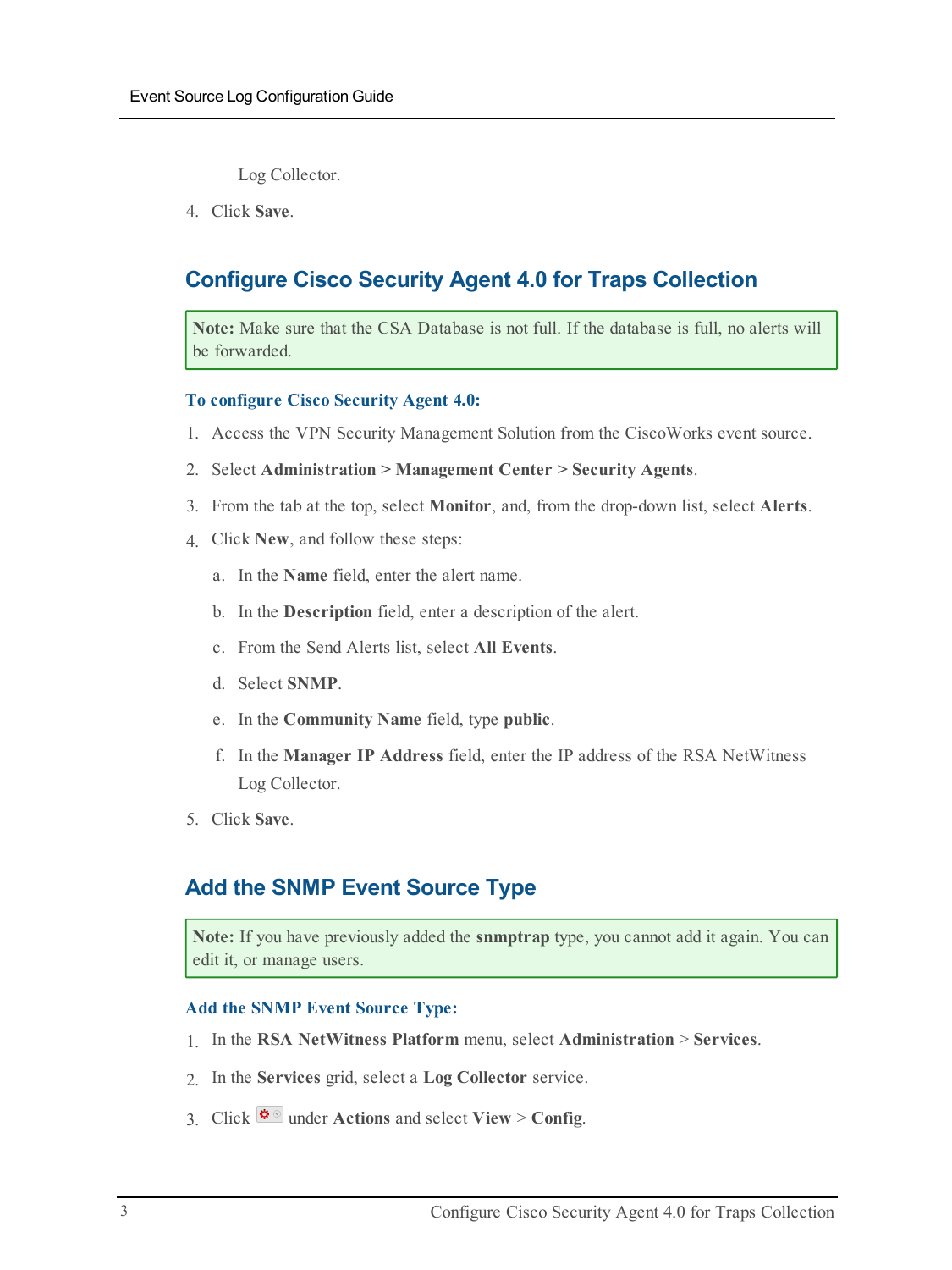Log Collector.

4. Click **Save**.

## **Configure Cisco Security Agent 4.0 for Traps Collection**

**Note:** Make sure that the CSA Database is not full. If the database is full, no alerts will be forwarded.

#### **To configure Cisco Security Agent 4.0:**

- 1. Access the VPN Security Management Solution from the CiscoWorks event source.
- 2. Select **Administration > Management Center > Security Agents**.
- 3. From the tab at the top, select **Monitor**, and, from the drop-down list, select **Alerts**.
- 4. Click **New**, and follow these steps:
	- a. In the **Name** field, enter the alert name.
	- b. In the **Description** field, enter a description of the alert.
	- c. From the Send Alerts list, select **All Events**.
	- d. Select **SNMP**.
	- e. In the **Community Name** field, type **public**.
	- f. In the **Manager IP Address** field, enter the IP address of the RSA NetWitness Log Collector.
- 5. Click **Save**.

## **Add the SNMP Event Source Type**

**Note:** If you have previously added the **snmptrap** type, you cannot add it again. You can edit it, or manage users.

#### **Add the SNMP Event Source Type:**

- 1. In the **RSA NetWitness Platform** menu, select **Administration** > **Services**.
- 2. In the **Services** grid, select a **Log Collector** service.
- 3. Click  $\frac{\phi}{\phi}$  under **Actions** and select **View** > Config.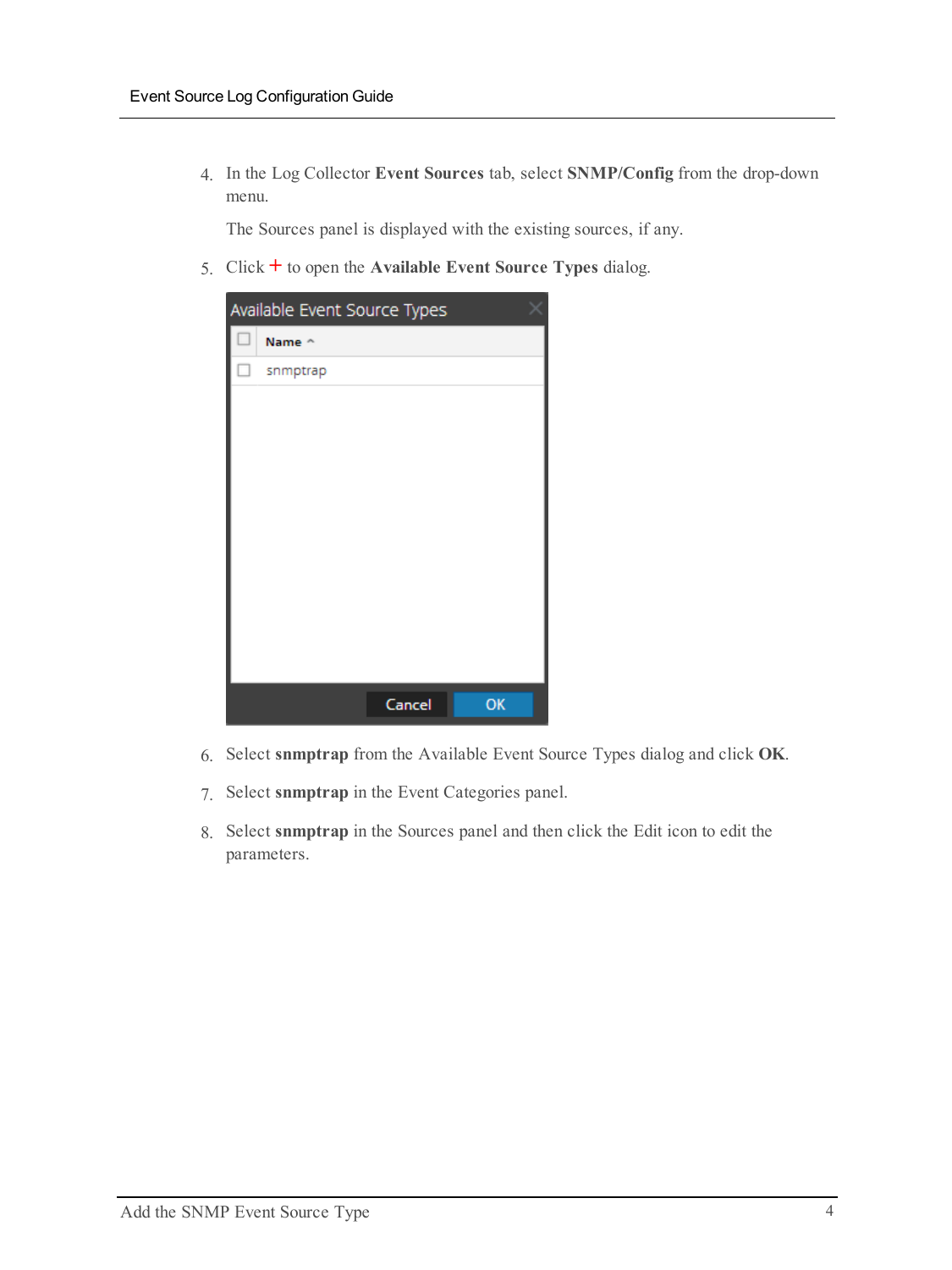4. In the Log Collector **Event Sources** tab, select **SNMP/Config** from the drop-down menu.

The Sources panel is displayed with the existing sources, if any.

5. Click **+** to open the **Available Event Source Types** dialog.

| Available Event Source Types |          |        |    |
|------------------------------|----------|--------|----|
|                              | Name ^   |        |    |
| □                            | snmptrap |        |    |
|                              |          |        |    |
|                              |          |        |    |
|                              |          |        |    |
|                              |          |        |    |
|                              |          |        |    |
|                              |          |        |    |
|                              |          |        |    |
|                              |          |        |    |
|                              |          |        |    |
|                              |          |        |    |
|                              |          | Cancel | OK |

- 6. Select **snmptrap** from the Available Event Source Types dialog and click **OK**.
- 7. Select **snmptrap** in the Event Categories panel.
- 8. Select **snmptrap** in the Sources panel and then click the Edit icon to edit the parameters.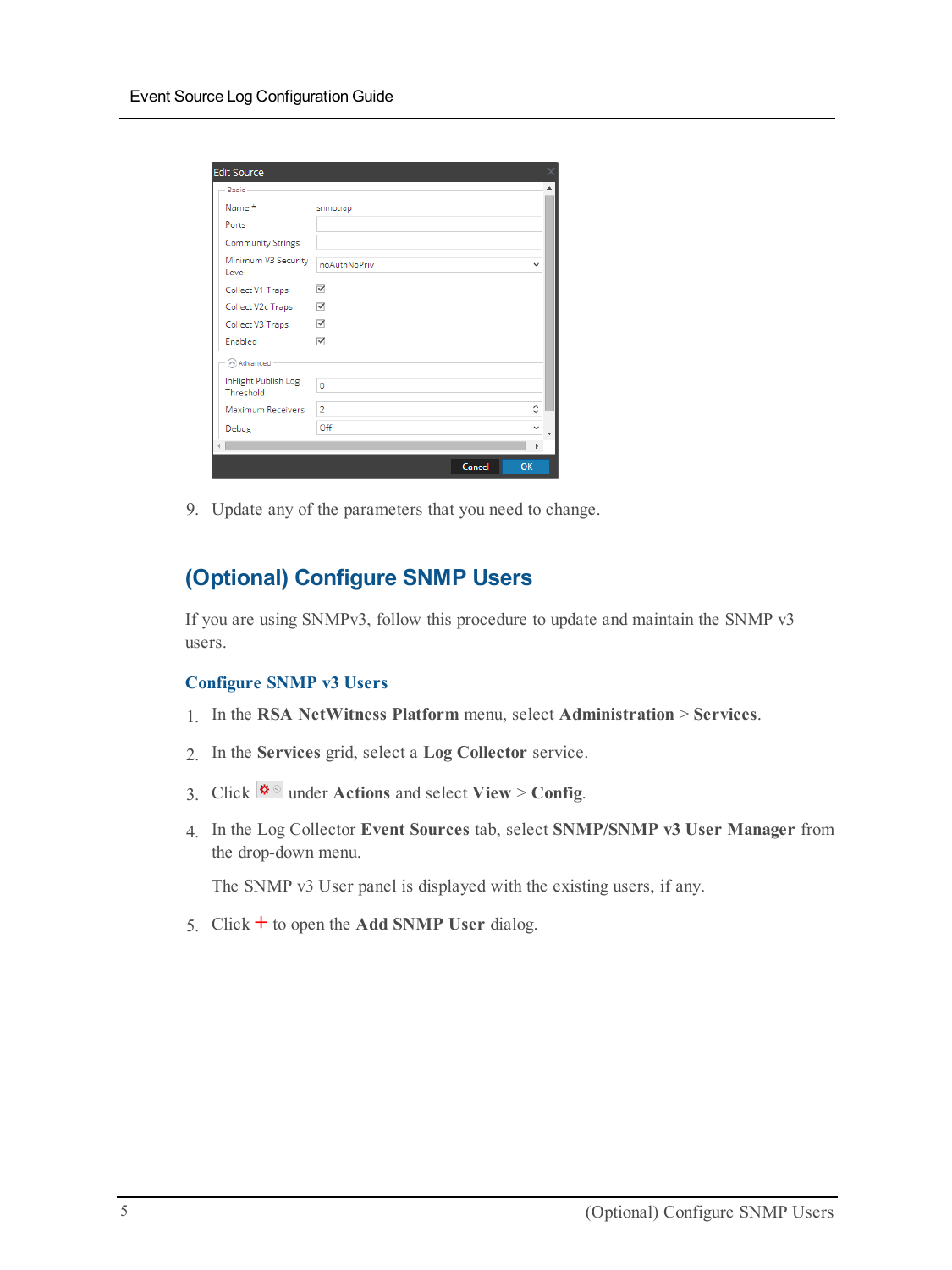| <b>Edit Source</b>                |                |        |              |
|-----------------------------------|----------------|--------|--------------|
| Basic                             |                |        |              |
| Name *                            | snmptrap       |        |              |
| Ports                             |                |        |              |
| <b>Community Strings</b>          |                |        |              |
| Minimum V3 Security<br>Level      | noAuthNoPriv   |        | $\checkmark$ |
| Collect V1 Traps                  | ✓              |        |              |
| Collect V2c Traps                 | ✓              |        |              |
| Collect V3 Traps                  | ✓              |        |              |
| Enabled                           | ✓              |        |              |
| Advanced                          |                |        |              |
| InFlight Publish Log<br>Threshold | 0              |        |              |
| Maximum Receivers                 | $\overline{2}$ |        | ≎            |
| Debug                             | Off            |        | v            |
|                                   |                |        | ь            |
|                                   |                | Cancel | OK           |

9. Update any of the parameters that you need to change.

## **(Optional) Configure SNMP Users**

If you are using SNMPv3, follow this procedure to update and maintain the SNMP v3 users.

#### **Configure SNMP v3 Users**

- 1. In the **RSA NetWitness Platform** menu, select **Administration** > **Services**.
- 2. In the **Services** grid, select a **Log Collector** service.
- 3. Click  $\bullet$  under **Actions** and select **View** > **Config.**
- 4. In the Log Collector **Event Sources** tab, select **SNMP/SNMP v3 User Manager** from the drop-down menu.

The SNMP v3 User panel is displayed with the existing users, if any.

5. Click **+** to open the **Add SNMP User** dialog.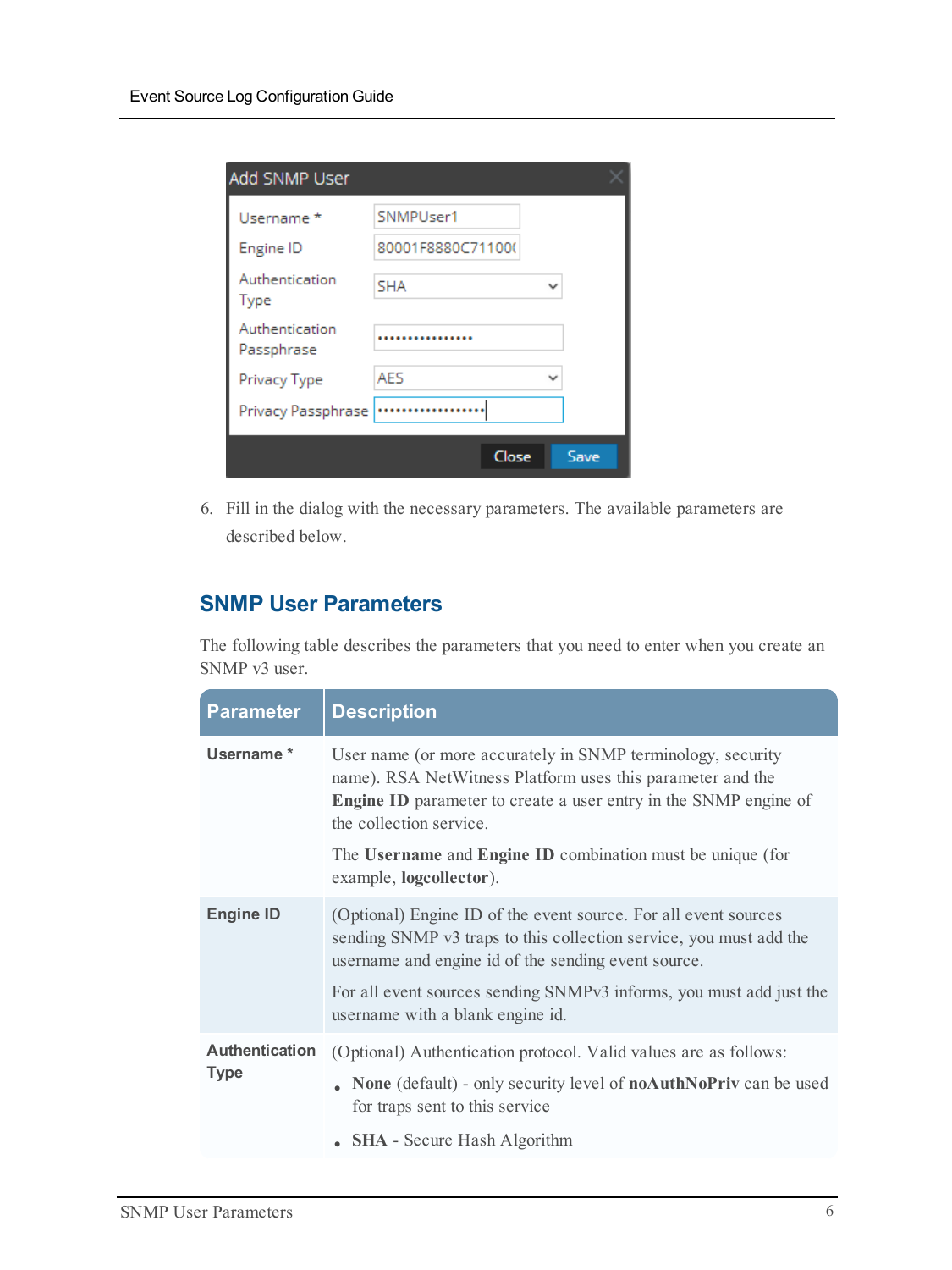| Add SNMP User                |                   |      |  |
|------------------------------|-------------------|------|--|
| Username *                   | SNMPUser1         |      |  |
| Engine ID                    | 80001F8880C711000 |      |  |
| Authentication<br>Type       | <b>SHA</b>        |      |  |
| Authentication<br>Passphrase |                   |      |  |
| Privacy Type                 | <b>AFS</b>        |      |  |
| Privacy Passphrase           |                   |      |  |
|                              | Close             | Save |  |

6. Fill in the dialog with the necessary parameters. The available parameters are described below.

## **SNMP User Parameters**

The following table describes the parameters that you need to enter when you create an SNMP v3 user.

| <b>Parameter</b>                     | <b>Description</b>                                                                                                                                                                                                                                                                            |
|--------------------------------------|-----------------------------------------------------------------------------------------------------------------------------------------------------------------------------------------------------------------------------------------------------------------------------------------------|
| Username*                            | User name (or more accurately in SNMP terminology, security<br>name). RSA NetWitness Platform uses this parameter and the<br><b>Engine ID</b> parameter to create a user entry in the SNMP engine of<br>the collection service.<br>The Username and Engine ID combination must be unique (for |
|                                      | example, logcollector).                                                                                                                                                                                                                                                                       |
| <b>Engine ID</b>                     | (Optional) Engine ID of the event source. For all event sources<br>sending SNMP v3 traps to this collection service, you must add the<br>username and engine id of the sending event source.                                                                                                  |
|                                      | For all event sources sending SNMPv3 informs, you must add just the<br>username with a blank engine id.                                                                                                                                                                                       |
| <b>Authentication</b><br><b>Type</b> | (Optional) Authentication protocol. Valid values are as follows:                                                                                                                                                                                                                              |
|                                      | • None (default) - only security level of noAuthNoPriv can be used<br>for traps sent to this service                                                                                                                                                                                          |
|                                      | • SHA - Secure Hash Algorithm                                                                                                                                                                                                                                                                 |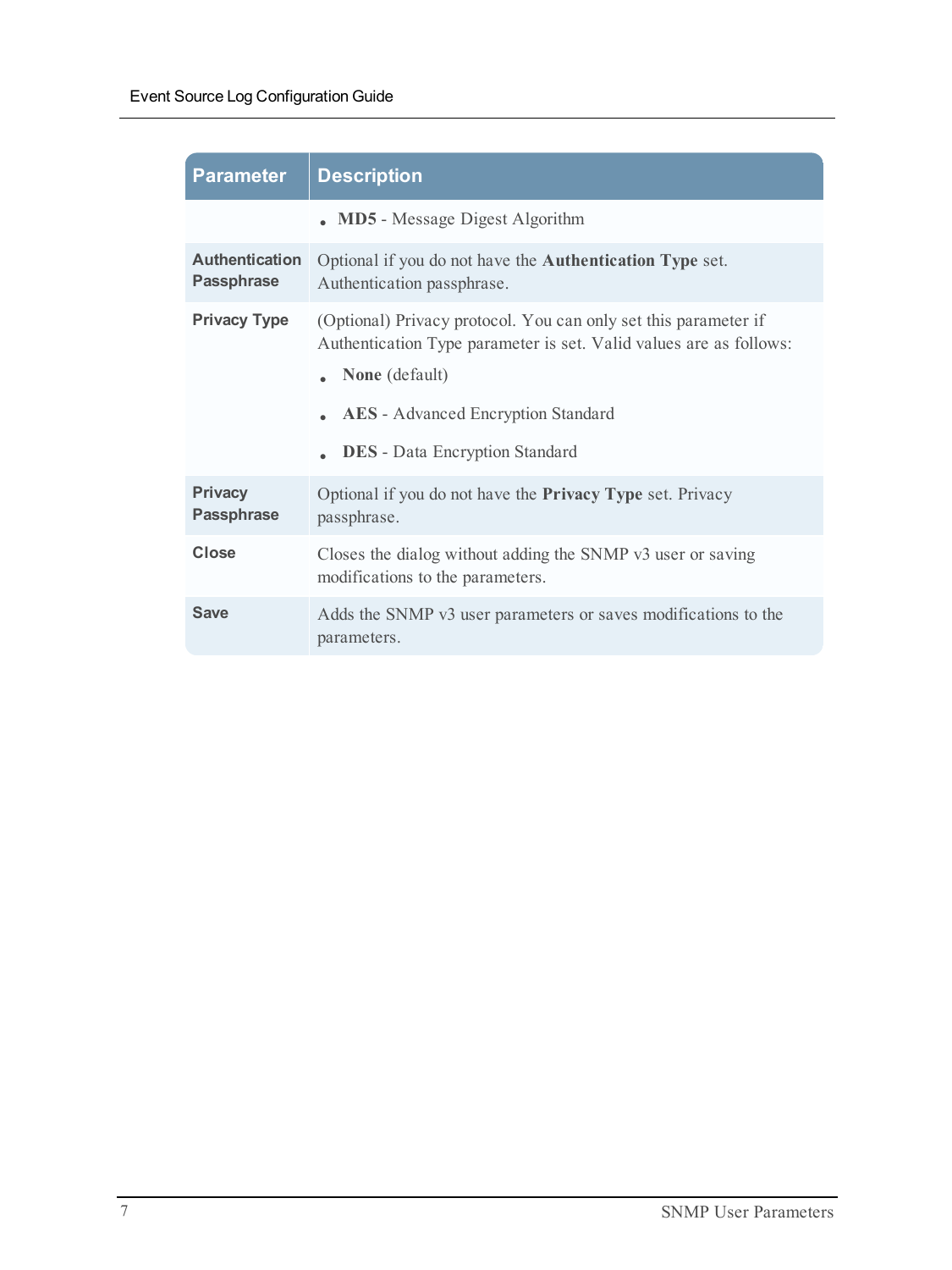| <b>Parameter</b>                           | <b>Description</b>                                                                                                                                                                                                                                   |
|--------------------------------------------|------------------------------------------------------------------------------------------------------------------------------------------------------------------------------------------------------------------------------------------------------|
|                                            | <b>MD5</b> - Message Digest Algorithm                                                                                                                                                                                                                |
| <b>Authentication</b><br><b>Passphrase</b> | Optional if you do not have the <b>Authentication Type</b> set.<br>Authentication passphrase.                                                                                                                                                        |
| <b>Privacy Type</b>                        | (Optional) Privacy protocol. You can only set this parameter if<br>Authentication Type parameter is set. Valid values are as follows:<br><b>None</b> (default)<br><b>AES</b> - Advanced Encryption Standard<br><b>DES</b> - Data Encryption Standard |
| <b>Privacy</b><br><b>Passphrase</b>        | Optional if you do not have the <b>Privacy Type</b> set. Privacy<br>passphrase.                                                                                                                                                                      |
| Close                                      | Closes the dialog without adding the SNMP v3 user or saving<br>modifications to the parameters.                                                                                                                                                      |
| <b>Save</b>                                | Adds the SNMP v3 user parameters or saves modifications to the<br>parameters.                                                                                                                                                                        |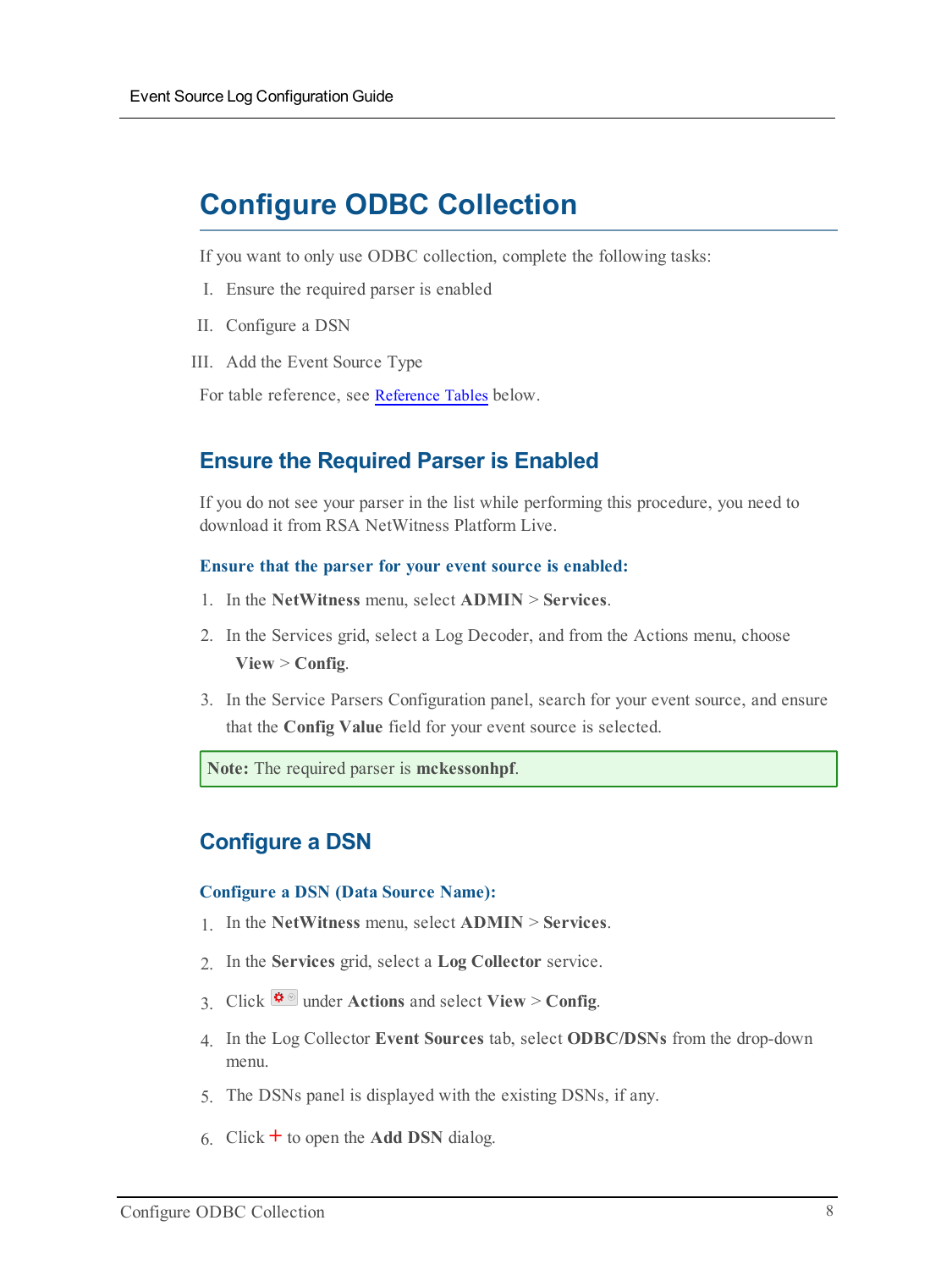## <span id="page-7-0"></span>**Configure ODBC Collection**

If you want to only use ODBC collection, complete the following tasks:

- I. Ensure the required parser is enabled
- II. Configure a DSN
- III. Add the Event Source Type

For table reference, see [Reference](#page-10-0) Tables below.

## **Ensure the Required Parser is Enabled**

If you do not see your parser in the list while performing this procedure, you need to download it from RSA NetWitness Platform Live.

#### **Ensure that the parser for your event source is enabled:**

- 1. In the **NetWitness** menu, select **ADMIN** > **Services**.
- 2. In the Services grid, select a Log Decoder, and from the Actions menu, choose **View** > **Config**.
- 3. In the Service Parsers Configuration panel, search for your event source, and ensure that the **Config Value** field for your event source is selected.

**Note:** The required parser is **mckessonhpf**.

## **Configure a DSN**

#### **Configure a DSN (Data Source Name):**

- 1. In the **NetWitness** menu, select **ADMIN** > **Services**.
- 2. In the **Services** grid, select a **Log Collector** service.
- 3. Click  $\bullet$  under **Actions** and select **View** > **Config.**
- 4. In the Log Collector **Event Sources** tab, select **ODBC/DSNs** from the drop-down menu.
- 5. The DSNs panel is displayed with the existing DSNs, if any.
- 6. Click **+** to open the **Add DSN** dialog.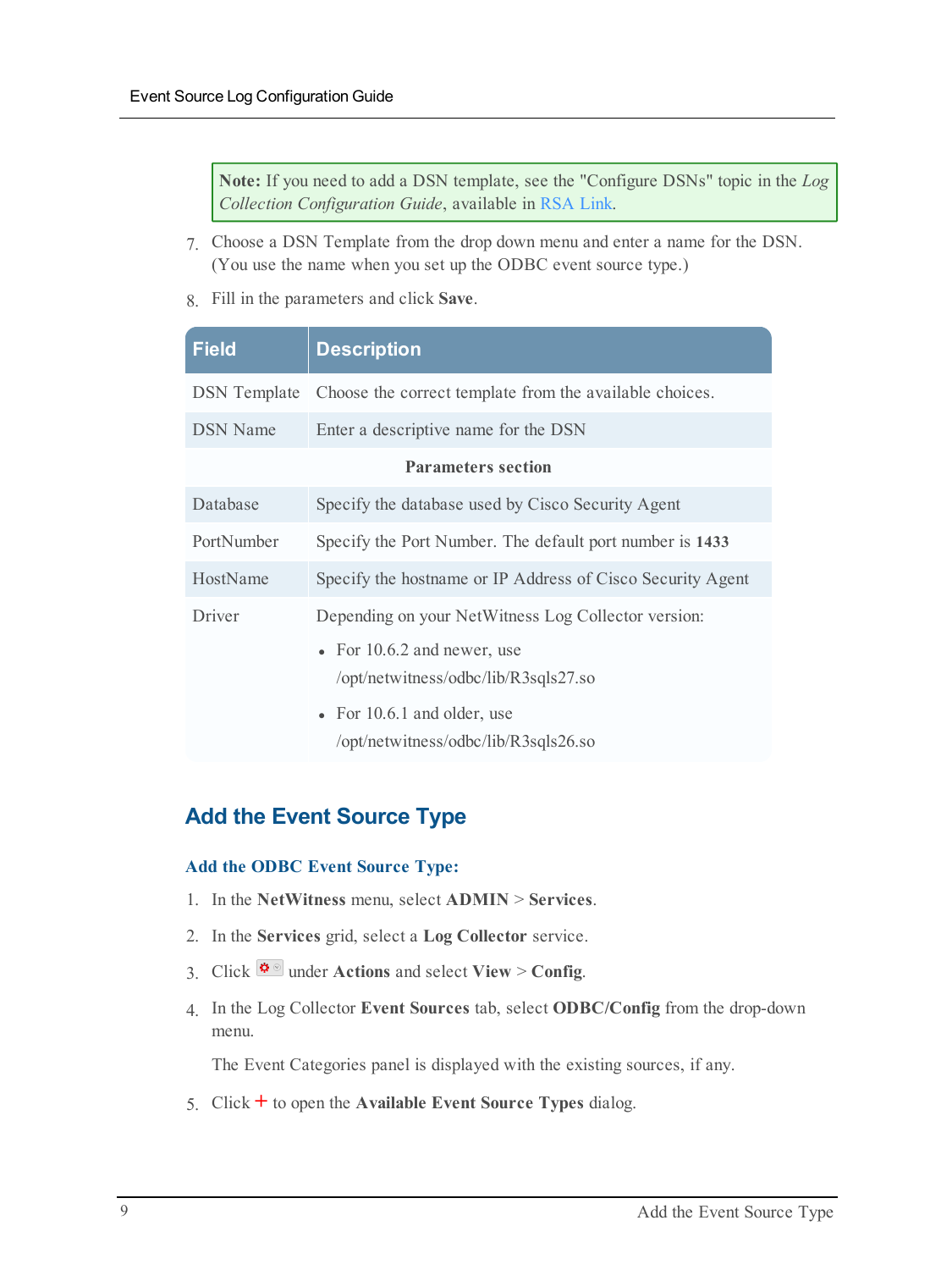**Note:** If you need to add a DSN template, see the "Configure DSNs" topic in the *Log Collection Configuration Guide*, available in [RSA Link.](https://community.rsa.com/community/products/netwitness)

- 7. Choose a DSN Template from the drop down menu and enter a name for the DSN. (You use the name when you set up the ODBC event source type.)
- 8. Fill in the parameters and click **Save**.

| <b>Field</b>        | <b>Description</b>                                                    |
|---------------------|-----------------------------------------------------------------------|
| <b>DSN</b> Template | Choose the correct template from the available choices.               |
| <b>DSN</b> Name     | Enter a descriptive name for the DSN                                  |
|                     | <b>Parameters section</b>                                             |
| Database            | Specify the database used by Cisco Security Agent                     |
| PortNumber          | Specify the Port Number. The default port number is 1433              |
| HostName            | Specify the hostname or IP Address of Cisco Security Agent            |
| Driver              | Depending on your NetWitness Log Collector version:                   |
|                     | • For $10.6.2$ and newer, use<br>/opt/netwitness/odbc/lib/R3sqls27.so |
|                     | • For $10.6.1$ and older, use<br>/opt/netwitness/odbc/lib/R3sqls26.so |

## **Add the Event Source Type**

#### **Add the ODBC Event Source Type:**

- 1. In the **NetWitness** menu, select **ADMIN** > **Services**.
- 2. In the **Services** grid, select a **Log Collector** service.
- 3. Click  $\frac{\phi}{\phi}$  under **Actions** and select **View** > **Config.**
- 4. In the Log Collector **Event Sources** tab, select **ODBC/Config** from the drop-down menu.

The Event Categories panel is displayed with the existing sources, if any.

5. Click **+** to open the **Available Event Source Types** dialog.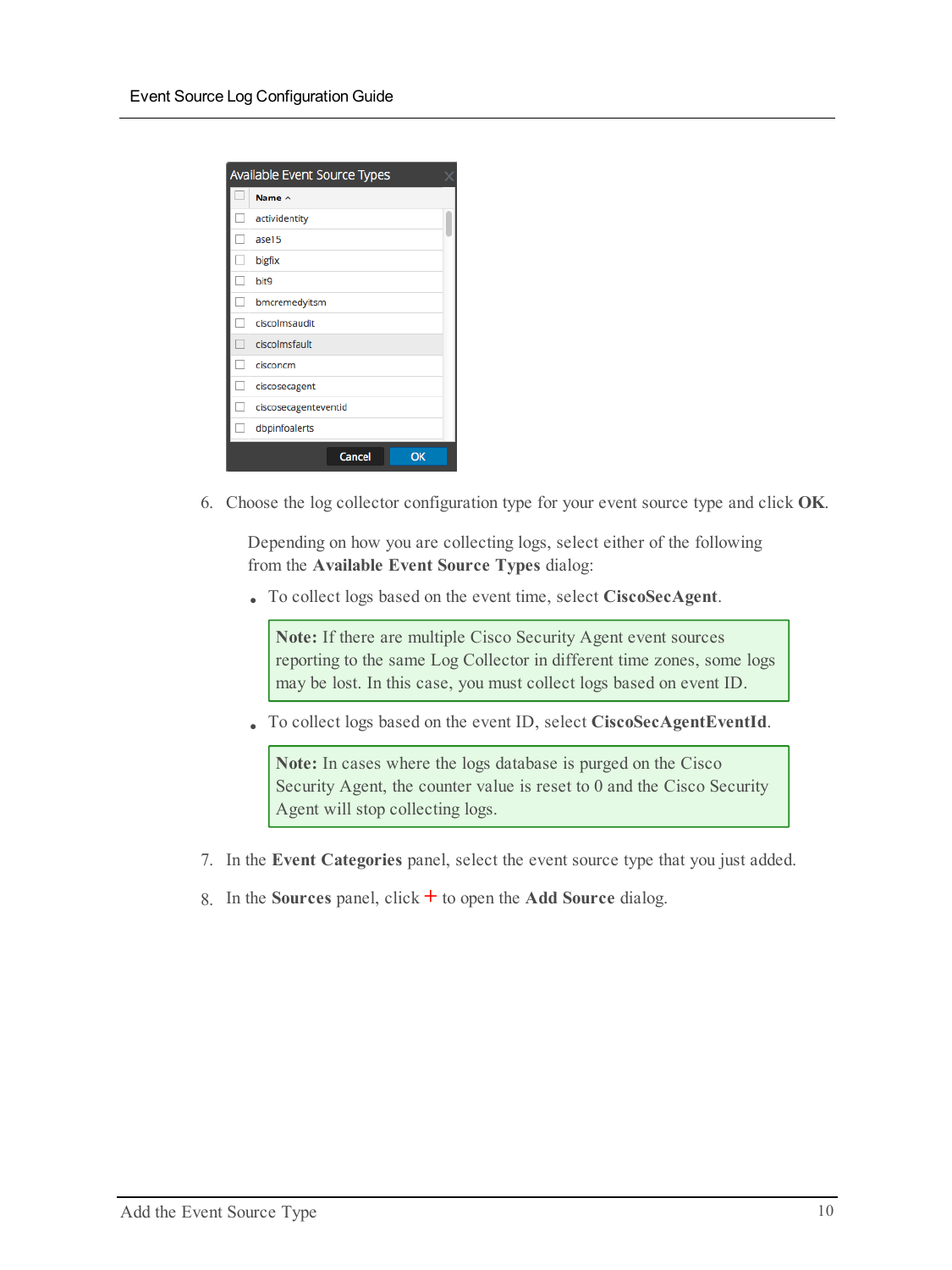| Available Event Source Types |                      |  |
|------------------------------|----------------------|--|
|                              | Name $\land$         |  |
|                              | actividentity        |  |
|                              | ase15                |  |
|                              | bigfix               |  |
|                              | bit9                 |  |
|                              | bmcremedyitsm        |  |
|                              | ciscolmsaudit        |  |
|                              | ciscolmsfault        |  |
|                              | cisconcm             |  |
|                              | ciscosecagent        |  |
|                              | ciscosecagenteventid |  |
|                              | dbpinfoalerts        |  |
|                              | Cancel<br>ОК         |  |

6. Choose the log collector configuration type for your event source type and click **OK**.

Depending on how you are collecting logs, select either of the following from the **Available Event Source Types** dialog:

<sup>l</sup> To collect logs based on the event time, select **CiscoSecAgent**.

**Note:** If there are multiple Cisco Security Agent event sources reporting to the same Log Collector in different time zones, some logs may be lost. In this case, you must collect logs based on event ID.

<sup>l</sup> To collect logs based on the event ID, select **CiscoSecAgentEventId**.

**Note:** In cases where the logs database is purged on the Cisco Security Agent, the counter value is reset to 0 and the Cisco Security Agent will stop collecting logs.

- 7. In the **Event Categories** panel, select the event source type that you just added.
- 8. In the **Sources** panel, click **+** to open the **Add Source** dialog.